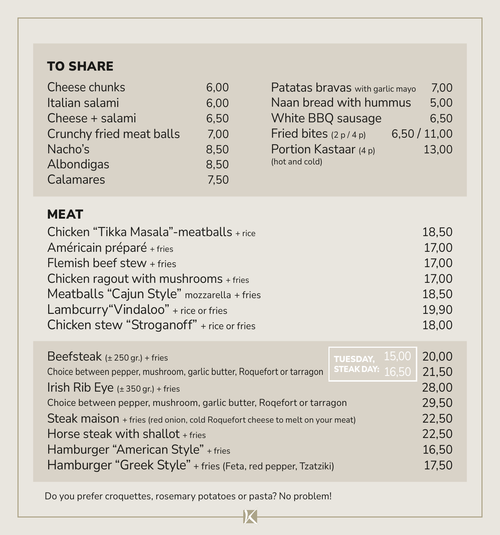### TO SHARE

| Cheese chunks            | 6.00 | Patatas bravas with garlic mayo     | 7.00  |
|--------------------------|------|-------------------------------------|-------|
| Italian salami           | 6.00 | Naan bread with hummus              | 5,00  |
| Cheese + salami          | 6.50 | White BBQ sausage                   | 6.50  |
| Crunchy fried meat balls | 7.00 | 6,50/11,00<br>Fried bites $(2p/4p)$ |       |
| Nacho's                  | 8.50 | Portion Kastaar (4 p)               | 13,00 |
| Albondigas               | 8.50 | (hot and cold)                      |       |
| Calamares                | 7.50 |                                     |       |

### MEAT

| Chicken "Tikka Masala"-meatballs + rice    | 18.50 |
|--------------------------------------------|-------|
| Américain préparé + fries                  | 17,00 |
| Flemish beef stew + fries                  | 17,00 |
| Chicken ragout with mushrooms + fries      | 17,00 |
| Meatballs "Cajun Style" mozzarella + fries | 18,50 |
| Lambcurry "Vindaloo" + rice or fries       | 19.90 |
| Chicken stew "Stroganoff" + rice or fries  | 18,00 |

| Beefsteak ( $± 250$ gr.) + fries                                                            | TUESDAY, 15,00 |  | 20.00 |
|---------------------------------------------------------------------------------------------|----------------|--|-------|
| STEAK DAY: $16,50$<br>Choice between pepper, mushroom, garlic butter, Roquefort or tarragon |                |  | 21,50 |
| Irish Rib Eye $(\pm 350 \text{ gr.}) + \text{fries}$                                        |                |  | 28,00 |
| Choice between pepper, mushroom, garlic butter, Rogefort or tarragon                        |                |  | 29,50 |
| Steak maison + fries (red onion, cold Roquefort cheese to melt on your meat)                |                |  | 22,50 |
| Horse steak with shallot + fries                                                            |                |  | 22,50 |
| Hamburger "American Style" + fries                                                          |                |  | 16,50 |
| Hamburger "Greek Style" + fries (Feta, red pepper, Tzatziki)                                |                |  | 17,50 |
|                                                                                             |                |  |       |

Do you prefer croquettes, rosemary potatoes or pasta? No problem!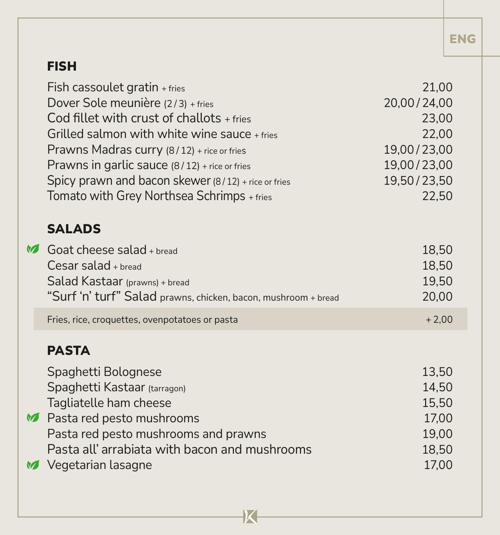## ENG

# FISH

|                            | Fish cassoulet gratin + fries                                  | 21,00       |
|----------------------------|----------------------------------------------------------------|-------------|
|                            | Dover Sole meunière (2/3) + fries                              | 20,00/24,00 |
|                            | Cod fillet with crust of challots + fries                      | 23,00       |
|                            | Grilled salmon with white wine sauce + fries                   | 22,00       |
|                            | Prawns Madras curry (8/12) + rice or fries                     | 19,00/23,00 |
|                            | Prawns in garlic sauce (8/12) + rice or fries                  | 19,00/23,00 |
|                            | Spicy prawn and bacon skewer (8/12) + rice or fries            | 19,50/23,50 |
|                            | Tomato with Grey Northsea Schrimps + fries                     | 22,50       |
|                            |                                                                |             |
|                            | <b>SALADS</b>                                                  |             |
| $\boldsymbol{\mathcal{A}}$ | Goat cheese salad $+$ bread                                    | 18,50       |
|                            | $Cesar$ salad + bread                                          | 18,50       |
|                            | Salad Kastaar (prawns) + bread                                 | 19,50       |
|                            | "Surf 'n' turf" Salad prawns, chicken, bacon, mushroom + bread | 20,00       |
|                            | Fries, rice, croquettes, ovenpotatoes or pasta                 | $+2,00$     |
|                            |                                                                |             |
|                            | <b>PASTA</b>                                                   |             |
|                            | Spaghetti Bolognese                                            | 13,50       |
|                            | Spaghetti Kastaar (tarragon)                                   | 14,50       |
|                            | Tagliatelle ham cheese                                         | 15,50       |
|                            | Restared pesto mushrooms                                       | 17,00       |
|                            | Pasta red pesto mushrooms and prawns                           | 19,00       |
|                            | Pasta all'arrabiata with bacon and mushrooms                   | 18,50       |
|                            | Vegetarian lasagne                                             | 17,00       |
|                            |                                                                |             |

 $\overline{\mathsf{K}}$